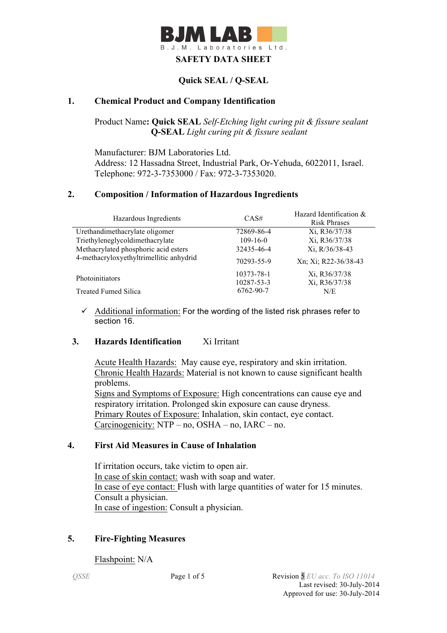

## **Quick SEAL / Q-SEAL**

### **1. Chemical Product and Company Identification**

Product Name**: Quick SEAL** *Self-Etching light curing pit & fissure sealant* **Q-SEAL** *Light curing pit & fissure sealant*

Manufacturer: BJM Laboratories Ltd. Address: 12 Hassadna Street, Industrial Park, Or-Yehuda, 6022011, Israel. Telephone: 972-3-7353000 / Fax: 972-3-7353020.

### **2. Composition / Information of Hazardous Ingredients**

| Hazardous Ingredients                   | CAS#           | Hazard Identification &                                                                                          |
|-----------------------------------------|----------------|------------------------------------------------------------------------------------------------------------------|
|                                         |                | <b>Risk Phrases</b><br>Xi, R36/37/38<br>Xi, R36/37/38<br>Xi, R/36/38-43<br>Xn; Xi; R22-36/38-43<br>Xi, R36/37/38 |
| Urethandimethacrylate oligomer          | 72869-86-4     |                                                                                                                  |
| Triethyleneglycoldimethacrylate         | $109 - 16 - 0$ |                                                                                                                  |
| Methacrylated phosphoric acid esters    | 32435-46-4     |                                                                                                                  |
| 4-methacryloxyethyltrimellitic anhydrid | 70293-55-9     |                                                                                                                  |
| Photoinitiators                         | 10373-78-1     |                                                                                                                  |
|                                         | 10287-53-3     | Xi, R36/37/38                                                                                                    |
| <b>Treated Fumed Silica</b>             | 6762-90-7      | N/E                                                                                                              |

 $\checkmark$  Additional information: For the wording of the listed risk phrases refer to section 16.

### **3. Hazards Identification** Xi Irritant

Acute Health Hazards: May cause eye, respiratory and skin irritation. Chronic Health Hazards: Material is not known to cause significant health problems. Signs and Symptoms of Exposure: High concentrations can cause eye and respiratory irritation. Prolonged skin exposure can cause dryness. Primary Routes of Exposure: Inhalation, skin contact, eye contact. Carcinogenicity: NTP – no, OSHA – no, IARC – no.

#### **4. First Aid Measures in Cause of Inhalation**

 If irritation occurs, take victim to open air. In case of skin contact: wash with soap and water. In case of eye contact: Flush with large quantities of water for 15 minutes. Consult a physician. In case of ingestion: Consult a physician.

### **5. Fire-Fighting Measures**

Flashpoint: N/A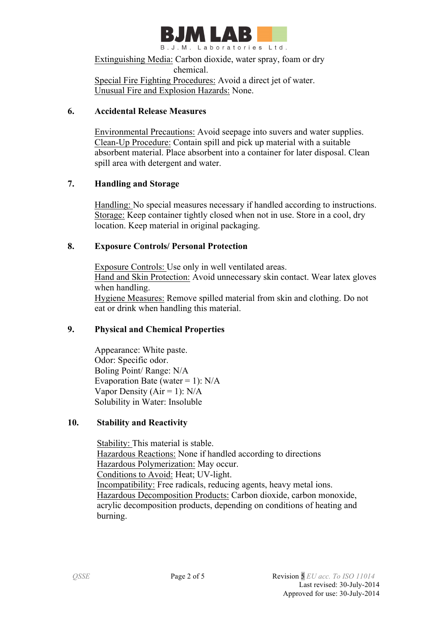

Extinguishing Media: Carbon dioxide, water spray, foam or dry chemical. Special Fire Fighting Procedures: Avoid a direct jet of water.

Unusual Fire and Explosion Hazards: None.

## **6. Accidental Release Measures**

 Environmental Precautions: Avoid seepage into suvers and water supplies. Clean-Up Procedure: Contain spill and pick up material with a suitable absorbent material. Place absorbent into a container for later disposal. Clean spill area with detergent and water.

## **7. Handling and Storage**

 Handling: No special measures necessary if handled according to instructions. Storage: Keep container tightly closed when not in use. Store in a cool, dry location. Keep material in original packaging.

## **8. Exposure Controls/ Personal Protection**

 Exposure Controls: Use only in well ventilated areas. Hand and Skin Protection: Avoid unnecessary skin contact. Wear latex gloves when handling. Hygiene Measures: Remove spilled material from skin and clothing. Do not eat or drink when handling this material.

## **9. Physical and Chemical Properties**

Appearance: White paste. Odor: Specific odor. Boling Point/ Range: N/A Evaporation Bate (water = 1):  $N/A$ Vapor Density ( $Air = 1$ ):  $N/A$ Solubility in Water: Insoluble

# **10. Stability and Reactivity**

 Stability: This material is stable. Hazardous Reactions: None if handled according to directions Hazardous Polymerization: May occur. Conditions to Avoid: Heat; UV-light. Incompatibility: Free radicals, reducing agents, heavy metal ions. Hazardous Decomposition Products: Carbon dioxide, carbon monoxide, acrylic decomposition products, depending on conditions of heating and burning.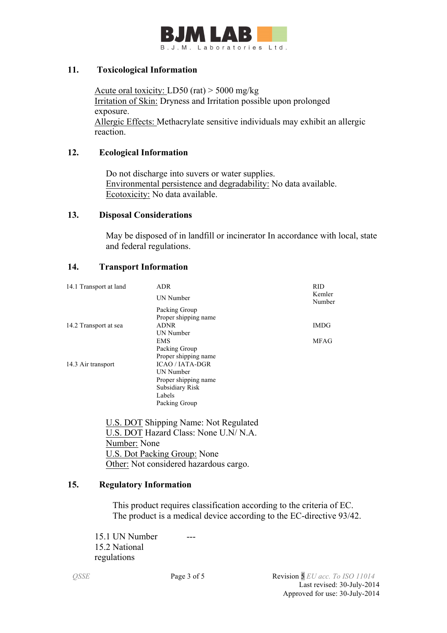

### **11. Toxicological Information**

Acute oral toxicity: LD50 (rat) > 5000 mg/kg Irritation of Skin: Dryness and Irritation possible upon prolonged exposure. Allergic Effects: Methacrylate sensitive individuals may exhibit an allergic reaction.

### **12. Ecological Information**

 Do not discharge into suvers or water supplies. Environmental persistence and degradability: No data available. Ecotoxicity: No data available.

### **13. Disposal Considerations**

 May be disposed of in landfill or incinerator In accordance with local, state and federal regulations.

## **14. Transport Information**

| 14.1 Transport at land | <b>ADR</b>             | <b>RID</b>       |
|------------------------|------------------------|------------------|
|                        | UN Number              | Kemler<br>Number |
|                        | Packing Group          |                  |
|                        | Proper shipping name   |                  |
| 14.2 Transport at sea  | <b>ADNR</b>            | <b>IMDG</b>      |
|                        | UN Number              |                  |
|                        | <b>EMS</b>             | <b>MFAG</b>      |
|                        | Packing Group          |                  |
|                        | Proper shipping name   |                  |
| 14.3 Air transport     | <b>ICAO / IATA-DGR</b> |                  |
|                        | UN Number              |                  |
|                        | Proper shipping name   |                  |
|                        | Subsidiary Risk        |                  |
|                        | Labels                 |                  |
|                        | Packing Group          |                  |

 U.S. DOT Shipping Name: Not Regulated U.S. DOT Hazard Class: None U.N/ N.A. Number: None U.S. Dot Packing Group: None Other: Not considered hazardous cargo.

## **15. Regulatory Information**

This product requires classification according to the criteria of EC. The product is a medical device according to the EC-directive 93/42.

15.1 UN Number 15.2 National regulations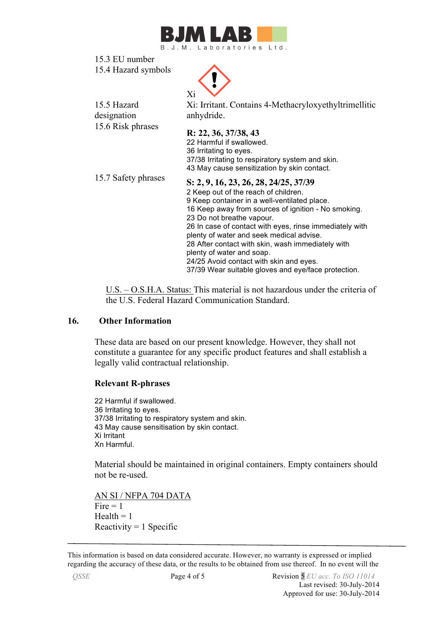

15.3 EU number 15.4 Hazard symbols



15.5 Hazard designation Xi: Irritant. Contains 4-Methacryloxyethyltrimellitic anhydride. 15.6 Risk phrases **R: 22, 36, 37/38, 43**  22 Harmful if swallowed. 36 Irritating to eyes. 37/38 Irritating to respiratory system and skin. 43 May cause sensitization by skin contact. 15.7 Safety phrases **S: 2, 9, 16, 23, 26, 28, 24/25, 37/39** 2 Keep out of the reach of children. 9 Keep container in a well-ventilated place. 16 Keep away from sources of ignition - No smoking. 23 Do not breathe vapour. 26 In case of contact with eyes, rinse immediately with plenty of water and seek medical advise.

28 After contact with skin, wash immediately with plenty of water and soap. 24/25 Avoid contact with skin and eyes.

37/39 Wear suitable gloves and eye/face protection.

 U.S. – O.S.H.A. Status: This material is not hazardous under the criteria of the U.S. Federal Hazard Communication Standard.

### **16. Other Information**

These data are based on our present knowledge. However, they shall not constitute a guarantee for any specific product features and shall establish a legally valid contractual relationship.

### **Relevant R-phrases**

22 Harmful if swallowed. 36 Irritating to eyes. 37/38 Irritating to respiratory system and skin. 43 May cause sensitisation by skin contact. Xi Irritant Xn Harmful.

Material should be maintained in original containers. Empty containers should not be re-used.

AN SI / NFPA 704 DATA  $Fire = 1$  $Health = 1$ Reactivity  $= 1$  Specific

This information is based on data considered accurate. However, no warranty is expressed or implied regarding the accuracy of these data, or the results to be obtained from use thereof. In no event will the